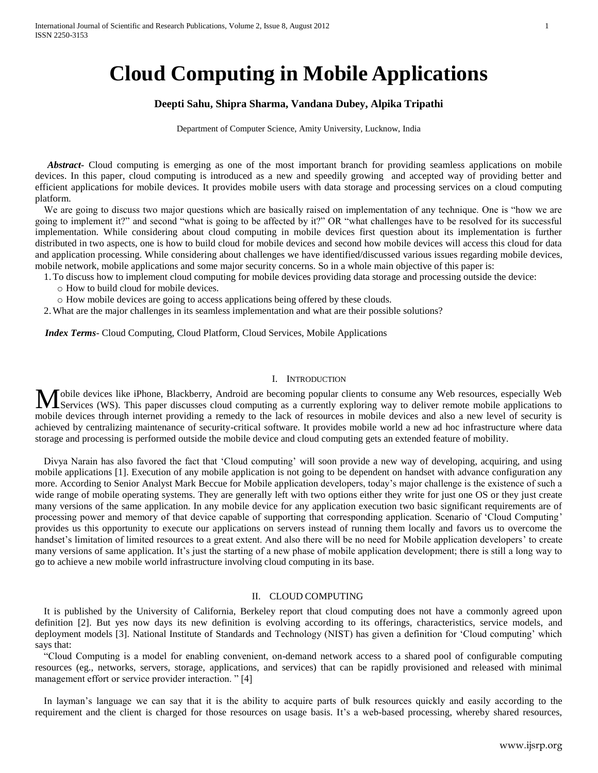# **Cloud Computing in Mobile Applications**

# **Deepti Sahu, Shipra Sharma, Vandana Dubey, Alpika Tripathi**

Department of Computer Science, Amity University, Lucknow, India

Abstract<sub>r</sub> Cloud computing is emerging as one of the most important branch for providing seamless applications on mobile devices. In this paper, cloud computing is introduced as a new and speedily growing and accepted way of providing better and efficient applications for mobile devices. It provides mobile users with data storage and processing services on a cloud computing platform.

We are going to discuss two major questions which are basically raised on implementation of any technique. One is "how we are going to implement it?" and second "what is going to be affected by it?" OR "what challenges have to be resolved for its successful implementation. While considering about cloud computing in mobile devices first question about its implementation is further distributed in two aspects, one is how to build cloud for mobile devices and second how mobile devices will access this cloud for data and application processing. While considering about challenges we have identified/discussed various issues regarding mobile devices, mobile network, mobile applications and some major security concerns. So in a whole main objective of this paper is:

1.To discuss how to implement cloud computing for mobile devices providing data storage and processing outside the device:

o How to build cloud for mobile devices.

o How mobile devices are going to access applications being offered by these clouds.

2.What are the major challenges in its seamless implementation and what are their possible solutions?

 *Index Terms*- Cloud Computing, Cloud Platform, Cloud Services, Mobile Applications

#### I. INTRODUCTION

obile devices like iPhone, Blackberry, Android are becoming popular clients to consume any Web resources, especially Web Mobile devices like iPhone, Blackberry, Android are becoming popular clients to consume any Web resources, especially Web Services (WS). This paper discusses cloud computing as a currently exploring way to deliver remote m mobile devices through internet providing a remedy to the lack of resources in mobile devices and also a new level of security is achieved by centralizing maintenance of security-critical software. It provides mobile world a new ad hoc infrastructure where data storage and processing is performed outside the mobile device and cloud computing gets an extended feature of mobility.

Divya Narain has also favored the fact that "Cloud computing" will soon provide a new way of developing, acquiring, and using mobile applications [1]. Execution of any mobile application is not going to be dependent on handset with advance configuration any more. According to Senior Analyst Mark Beccue for Mobile application developers, today"s major challenge is the existence of such a wide range of mobile operating systems. They are generally left with two options either they write for just one OS or they just create many versions of the same application. In any mobile device for any application execution two basic significant requirements are of processing power and memory of that device capable of supporting that corresponding application. Scenario of "Cloud Computing" provides us this opportunity to execute our applications on servers instead of running them locally and favors us to overcome the handset's limitation of limited resources to a great extent. And also there will be no need for Mobile application developers' to create many versions of same application. It's just the starting of a new phase of mobile application development; there is still a long way to go to achieve a new mobile world infrastructure involving cloud computing in its base.

## II. CLOUD COMPUTING

It is published by the University of California, Berkeley report that cloud computing does not have a commonly agreed upon definition [2]. But yes now days its new definition is evolving according to its offerings, characteristics, service models, and deployment models [3]. National Institute of Standards and Technology (NIST) has given a definition for "Cloud computing" which says that:

"Cloud Computing is a model for enabling convenient, on-demand network access to a shared pool of configurable computing resources (eg., networks, servers, storage, applications, and services) that can be rapidly provisioned and released with minimal management effort or service provider interaction. "[4]

In layman"s language we can say that it is the ability to acquire parts of bulk resources quickly and easily according to the requirement and the client is charged for those resources on usage basis. It's a web-based processing, whereby shared resources,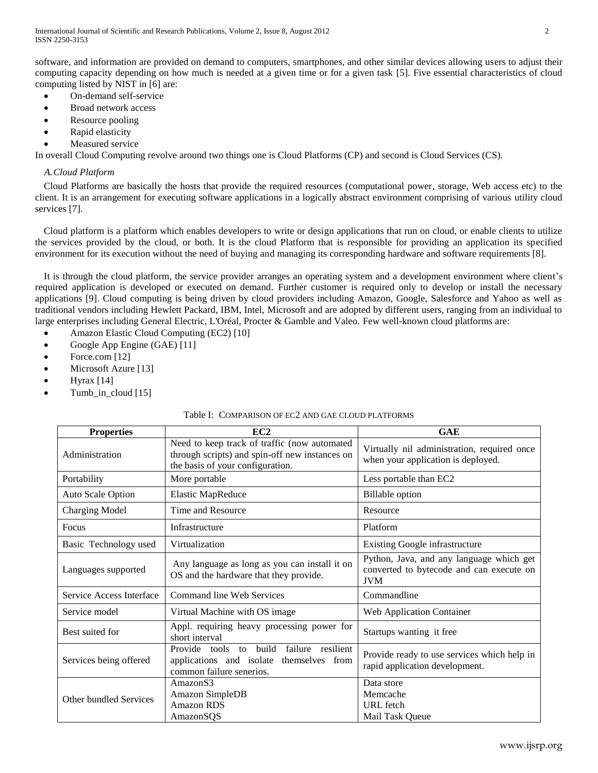software, and information are provided on demand to computers, smartphones, and other similar devices allowing users to adjust their computing capacity depending on how much is needed at a given time or for a given task [5]. Five essential characteristics of cloud computing listed by NIST in [6] are:

- On-demand self-service
- Broad network access
- Resource pooling
- Rapid elasticity
- Measured service

In overall Cloud Computing revolve around two things one is Cloud Platforms (CP) and second is Cloud Services (CS).

# *A.Cloud Platform*

Cloud Platforms are basically the hosts that provide the required resources (computational power, storage, Web access etc) to the client. It is an arrangement for executing software applications in a logically abstract environment comprising of various utility cloud services [7].

Cloud platform is a platform which enables developers to write or design applications that run on cloud, or enable clients to utilize the services provided by the cloud, or both. It is the cloud Platform that is responsible for providing an application its specified environment for its execution without the need of buying and managing its corresponding hardware and software requirements [8].

It is through the cloud platform, the service provider arranges an operating system and a development environment where client"s required application is developed or executed on demand. Further customer is required only to develop or install the necessary applications [9]. Cloud computing is being driven by cloud providers including Amazon, Google, Salesforce and Yahoo as well as traditional vendors including Hewlett Packard, IBM, Intel, Microsoft and are adopted by different users, ranging from an individual to large enterprises including General Electric, L'Oréal, Procter & Gamble and Valeo. Few well-known cloud platforms are:

- Amazon Elastic Cloud Computing (EC2) [10]
- Google App Engine (GAE) [11]
- Force.com  $[12]$
- Microsoft Azure [13]
- Hyrax [14]
- Tumb\_in\_cloud [15]

# Table I: COMPARISON OF EC2 AND GAE CLOUD PLATFORMS

| <b>Properties</b>        | EC2                                                                                                                                | <b>GAE</b>                                                                                         |
|--------------------------|------------------------------------------------------------------------------------------------------------------------------------|----------------------------------------------------------------------------------------------------|
| Administration           | Need to keep track of traffic (now automated<br>through scripts) and spin-off new instances on<br>the basis of your configuration. | Virtually nil administration, required once<br>when your application is deployed.                  |
| Portability              | More portable                                                                                                                      | Less portable than EC2                                                                             |
| Auto Scale Option        | <b>Elastic MapReduce</b>                                                                                                           | <b>Billable</b> option                                                                             |
| <b>Charging Model</b>    | Time and Resource                                                                                                                  | Resource                                                                                           |
| Focus                    | Infrastructure                                                                                                                     | Platform                                                                                           |
| Basic Technology used    | Virtualization                                                                                                                     | Existing Google infrastructure                                                                     |
| Languages supported      | Any language as long as you can install it on<br>OS and the hardware that they provide.                                            | Python, Java, and any language which get<br>converted to bytecode and can execute on<br><b>JVM</b> |
| Service Access Interface | Command line Web Services                                                                                                          | Commandline                                                                                        |
| Service model            | Virtual Machine with OS image                                                                                                      | <b>Web Application Container</b>                                                                   |
| Best suited for          | Appl. requiring heavy processing power for<br>short interval                                                                       | Startups wanting it free                                                                           |
| Services being offered   | Provide tools<br>failure<br>resilient<br>build<br>to<br>applications and isolate themselves from<br>common failure senerios.       | Provide ready to use services which help in<br>rapid application development.                      |
| Other bundled Services   | Amazon <sub>S3</sub><br>Amazon SimpleDB<br><b>Amazon RDS</b><br>AmazonSQS                                                          | Data store<br>Memcache<br><b>URL</b> fetch<br>Mail Task Queue                                      |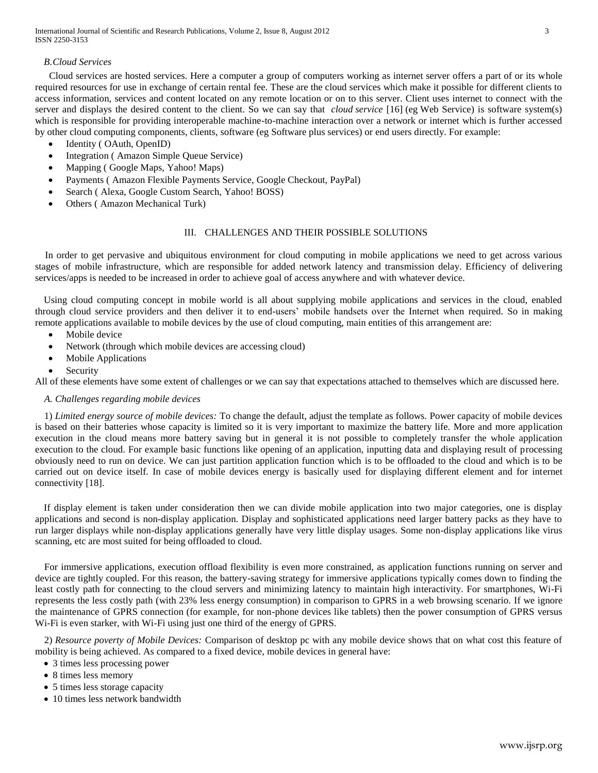International Journal of Scientific and Research Publications, Volume 2, Issue 8, August 2012 3 ISSN 2250-3153

## *B.Cloud Services*

Cloud services are hosted services. Here a computer a group of computers working as internet server offers a part of or its whole required resources for use in exchange of certain rental fee. These are the cloud services which make it possible for different clients to access information, services and content located on any remote location or on to this server. Client uses internet to connect with the server and displays the desired content to the client. So we can say that *cloud service* [16] (eg Web Service) is software system(s) which is responsible for providing interoperable machine-to-machine interaction over a network or internet which is further accessed by other cloud computing components, clients, software (eg Software plus services) or end users directly. For example:

- Identity ( OAuth, OpenID)
- Integration ( Amazon Simple Queue Service)
- Mapping ( Google Maps, Yahoo! Maps)
- Payments ( Amazon Flexible Payments Service, Google Checkout, PayPal)
- Search ( Alexa, Google Custom Search, Yahoo! BOSS)
- Others ( Amazon Mechanical Turk)

## III. CHALLENGES AND THEIR POSSIBLE SOLUTIONS

 In order to get pervasive and ubiquitous environment for cloud computing in mobile applications we need to get across various stages of mobile infrastructure, which are responsible for added network latency and transmission delay. Efficiency of delivering services/apps is needed to be increased in order to achieve goal of access anywhere and with whatever device.

Using cloud computing concept in mobile world is all about supplying mobile applications and services in the cloud, enabled through cloud service providers and then deliver it to end-users" mobile handsets over the Internet when required. So in making remote applications available to mobile devices by the use of cloud computing, main entities of this arrangement are:

- Mobile device
- Network (through which mobile devices are accessing cloud)
- Mobile Applications
- Security

All of these elements have some extent of challenges or we can say that expectations attached to themselves which are discussed here.

## *A. Challenges regarding mobile devices*

1) *Limited energy source of mobile devices:* To change the default, adjust the template as follows. Power capacity of mobile devices is based on their batteries whose capacity is limited so it is very important to maximize the battery life. More and more application execution in the cloud means more battery saving but in general it is not possible to completely transfer the whole application execution to the cloud. For example basic functions like opening of an application, inputting data and displaying result of processing obviously need to run on device. We can just partition application function which is to be offloaded to the cloud and which is to be carried out on device itself. In case of mobile devices energy is basically used for displaying different element and for internet connectivity [18].

If display element is taken under consideration then we can divide mobile application into two major categories, one is display applications and second is non-display application. Display and sophisticated applications need larger battery packs as they have to run larger displays while non-display applications generally have very little display usages. Some non-display applications like virus scanning, etc are most suited for being offloaded to cloud.

For immersive applications, execution offload flexibility is even more constrained, as application functions running on server and device are tightly coupled. For this reason, the battery-saving strategy for immersive applications typically comes down to finding the least costly path for connecting to the cloud servers and minimizing latency to maintain high interactivity. For smartphones, Wi-Fi represents the less costly path (with 23% less energy consumption) in comparison to GPRS in a web browsing scenario. If we ignore the maintenance of GPRS connection (for example, for non-phone devices like tablets) then the power consumption of GPRS versus Wi-Fi is even starker, with Wi-Fi using just one third of the energy of GPRS.

2) *Resource poverty of Mobile Devices:* Comparison of desktop pc with any mobile device shows that on what cost this feature of mobility is being achieved. As compared to a fixed device, mobile devices in general have:

- 3 times less processing power
- 8 times less memory
- 5 times less storage capacity
- 10 times less network bandwidth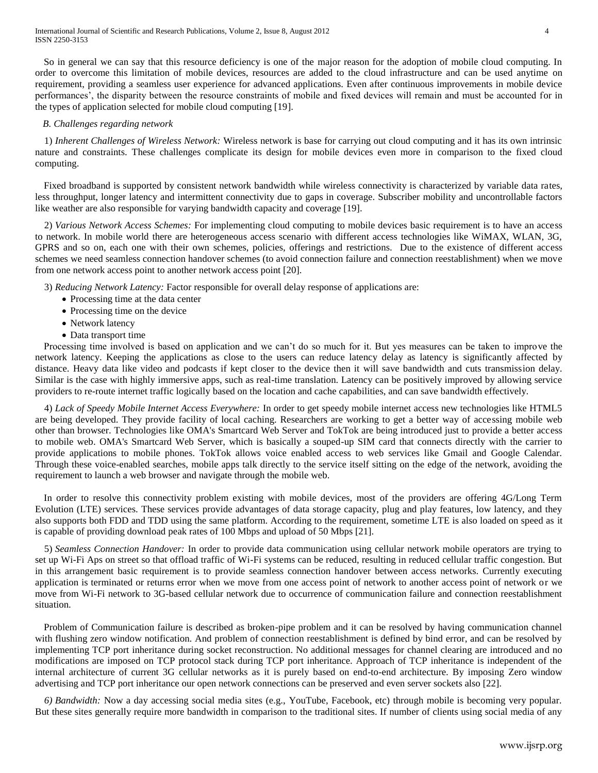So in general we can say that this resource deficiency is one of the major reason for the adoption of mobile cloud computing. In order to overcome this limitation of mobile devices, resources are added to the cloud infrastructure and can be used anytime on requirement, providing a seamless user experience for advanced applications. Even after continuous improvements in mobile device performances', the disparity between the resource constraints of mobile and fixed devices will remain and must be accounted for in the types of application selected for mobile cloud computing [19].

## *B. Challenges regarding network*

1) *Inherent Challenges of Wireless Network:* Wireless network is base for carrying out cloud computing and it has its own intrinsic nature and constraints. These challenges complicate its design for mobile devices even more in comparison to the fixed cloud computing.

Fixed broadband is supported by consistent network bandwidth while wireless connectivity is characterized by variable data rates, less throughput, longer latency and intermittent connectivity due to gaps in coverage. Subscriber mobility and uncontrollable factors like weather are also responsible for varying bandwidth capacity and coverage [19].

2) *Various Network Access Schemes:* For implementing cloud computing to mobile devices basic requirement is to have an access to network. In mobile world there are heterogeneous access scenario with different access technologies like WiMAX, WLAN, 3G, GPRS and so on, each one with their own schemes, policies, offerings and restrictions. Due to the existence of different access schemes we need seamless connection handover schemes (to avoid connection failure and connection reestablishment) when we move from one network access point to another network access point [20].

3) *Reducing Network Latency:* Factor responsible for overall delay response of applications are:

- Processing time at the data center
- Processing time on the device
- Network latency
- Data transport time

Processing time involved is based on application and we can"t do so much for it. But yes measures can be taken to improve the network latency. Keeping the applications as close to the users can reduce latency delay as latency is significantly affected by distance. Heavy data like video and podcasts if kept closer to the device then it will save bandwidth and cuts transmission delay. Similar is the case with highly immersive apps, such as real-time translation. Latency can be positively improved by allowing service providers to re-route internet traffic logically based on the location and cache capabilities, and can save bandwidth effectively.

4) *Lack of Speedy Mobile Internet Access Everywhere:* In order to get speedy mobile internet access new technologies like HTML5 are being developed. They provide facility of local caching. Researchers are working to get a better way of accessing mobile web other than browser. Technologies like OMA's Smartcard Web Server and TokTok are being introduced just to provide a better access to mobile web. OMA's Smartcard Web Server, which is basically a souped-up SIM card that connects directly with the carrier to provide applications to mobile phones. TokTok allows voice enabled access to web services like Gmail and Google Calendar. Through these voice-enabled searches, mobile apps talk directly to the service itself sitting on the edge of the network, avoiding the requirement to launch a web browser and navigate through the mobile web.

In order to resolve this connectivity problem existing with mobile devices, most of the providers are offering 4G/Long Term Evolution (LTE) services. These services provide advantages of data storage capacity, plug and play features, low latency, and they also supports both FDD and TDD using the same platform. According to the requirement, sometime LTE is also loaded on speed as it is capable of providing download peak rates of 100 Mbps and upload of 50 Mbps [21].

5) *Seamless Connection Handover:* In order to provide data communication using cellular network mobile operators are trying to set up Wi-Fi Aps on street so that offload traffic of Wi-Fi systems can be reduced, resulting in reduced cellular traffic congestion. But in this arrangement basic requirement is to provide seamless connection handover between access networks. Currently executing application is terminated or returns error when we move from one access point of network to another access point of network or we move from Wi-Fi network to 3G-based cellular network due to occurrence of communication failure and connection reestablishment situation.

Problem of Communication failure is described as broken-pipe problem and it can be resolved by having communication channel with flushing zero window notification. And problem of connection reestablishment is defined by bind error, and can be resolved by implementing TCP port inheritance during socket reconstruction. No additional messages for channel clearing are introduced and no modifications are imposed on TCP protocol stack during TCP port inheritance. Approach of TCP inheritance is independent of the internal architecture of current 3G cellular networks as it is purely based on end-to-end architecture. By imposing Zero window advertising and TCP port inheritance our open network connections can be preserved and even server sockets also [22].

*6) Bandwidth:* Now a day accessing social media sites (e.g., YouTube, Facebook, etc) through mobile is becoming very popular. But these sites generally require more bandwidth in comparison to the traditional sites. If number of clients using social media of any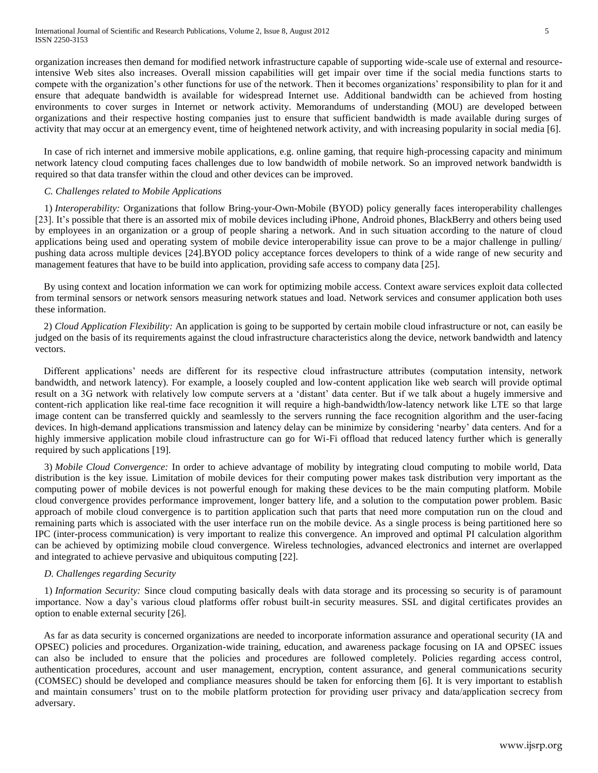organization increases then demand for modified network infrastructure capable of supporting wide-scale use of external and resourceintensive Web sites also increases. Overall mission capabilities will get impair over time if the social media functions starts to compete with the organization"s other functions for use of the network. Then it becomes organizations" responsibility to plan for it and ensure that adequate bandwidth is available for widespread Internet use. Additional bandwidth can be achieved from hosting environments to cover surges in Internet or network activity. Memorandums of understanding (MOU) are developed between organizations and their respective hosting companies just to ensure that sufficient bandwidth is made available during surges of activity that may occur at an emergency event, time of heightened network activity, and with increasing popularity in social media [6].

In case of rich internet and immersive mobile applications, e.g. online gaming, that require high-processing capacity and minimum network latency cloud computing faces challenges due to low bandwidth of mobile network. So an improved network bandwidth is required so that data transfer within the cloud and other devices can be improved.

## *C. Challenges related to Mobile Applications*

1) *Interoperability:* Organizations that follow Bring-your-Own-Mobile (BYOD) policy generally faces interoperability challenges [23]. It's possible that there is an assorted mix of mobile devices including iPhone, Android phones, BlackBerry and others being used by employees in an organization or a group of people sharing a network. And in such situation according to the nature of cloud applications being used and operating system of mobile device interoperability issue can prove to be a major challenge in pulling/ pushing data across multiple devices [24].BYOD policy acceptance forces developers to think of a wide range of new security and management features that have to be build into application, providing safe access to company data [25].

By using context and location information we can work for optimizing mobile access. Context aware services exploit data collected from terminal sensors or network sensors measuring network statues and load. Network services and consumer application both uses these information.

2) *Cloud Application Flexibility:* An application is going to be supported by certain mobile cloud infrastructure or not, can easily be judged on the basis of its requirements against the cloud infrastructure characteristics along the device, network bandwidth and latency vectors.

Different applications" needs are different for its respective cloud infrastructure attributes (computation intensity, network bandwidth, and network latency). For example, a loosely coupled and low-content application like web search will provide optimal result on a 3G network with relatively low compute servers at a "distant" data center. But if we talk about a hugely immersive and content-rich application like real-time face recognition it will require a high-bandwidth/low-latency network like LTE so that large image content can be transferred quickly and seamlessly to the servers running the face recognition algorithm and the user-facing devices. In high-demand applications transmission and latency delay can be minimize by considering "nearby" data centers. And for a highly immersive application mobile cloud infrastructure can go for Wi-Fi offload that reduced latency further which is generally required by such applications [19].

3) *Mobile Cloud Convergence:* In order to achieve advantage of mobility by integrating cloud computing to mobile world, Data distribution is the key issue. Limitation of mobile devices for their computing power makes task distribution very important as the computing power of mobile devices is not powerful enough for making these devices to be the main computing platform. Mobile cloud convergence provides performance improvement, longer battery life, and a solution to the computation power problem. Basic approach of mobile cloud convergence is to partition application such that parts that need more computation run on the cloud and remaining parts which is associated with the user interface run on the mobile device. As a single process is being partitioned here so IPC (inter-process communication) is very important to realize this convergence. An improved and optimal PI calculation algorithm can be achieved by optimizing mobile cloud convergence. Wireless technologies, advanced electronics and internet are overlapped and integrated to achieve pervasive and ubiquitous computing [22].

#### *D. Challenges regarding Security*

1) *Information Security:* Since cloud computing basically deals with data storage and its processing so security is of paramount importance. Now a day"s various cloud platforms offer robust built-in security measures. SSL and digital certificates provides an option to enable external security [26].

As far as data security is concerned organizations are needed to incorporate information assurance and operational security (IA and OPSEC) policies and procedures. Organization-wide training, education, and awareness package focusing on IA and OPSEC issues can also be included to ensure that the policies and procedures are followed completely. Policies regarding access control, authentication procedures, account and user management, encryption, content assurance, and general communications security (COMSEC) should be developed and compliance measures should be taken for enforcing them [6]. It is very important to establish and maintain consumers' trust on to the mobile platform protection for providing user privacy and data/application secrecy from adversary.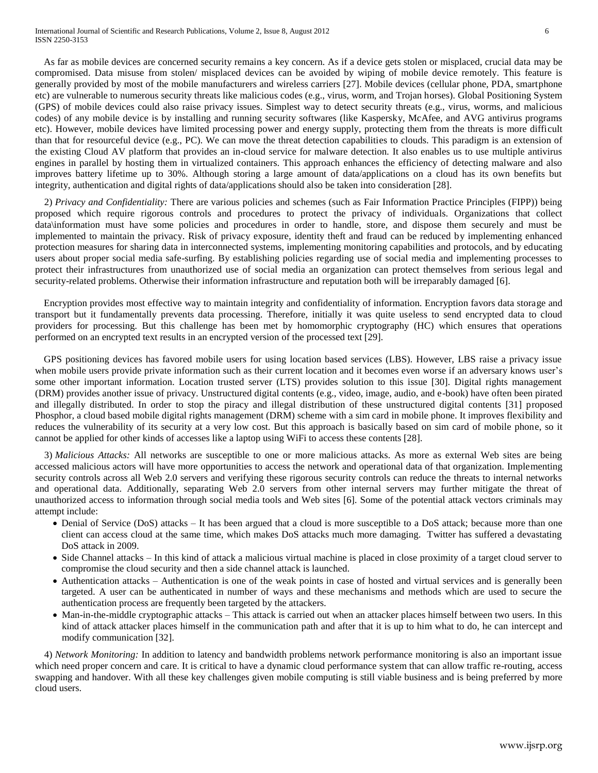As far as mobile devices are concerned security remains a key concern. As if a device gets stolen or misplaced, crucial data may be compromised. Data misuse from stolen/ misplaced devices can be avoided by wiping of mobile device remotely. This feature is generally provided by most of the mobile manufacturers and wireless carriers [27]. Mobile devices (cellular phone, PDA, smartphone etc) are vulnerable to numerous security threats like malicious codes (e.g., virus, worm, and Trojan horses). Global Positioning System (GPS) of mobile devices could also raise privacy issues. Simplest way to detect security threats (e.g., virus, worms, and malicious codes) of any mobile device is by installing and running security softwares (like Kaspersky, McAfee, and AVG antivirus programs etc). However, mobile devices have limited processing power and energy supply, protecting them from the threats is more difficult than that for resourceful device (e.g., PC). We can move the threat detection capabilities to clouds. This paradigm is an extension of the existing Cloud AV platform that provides an in-cloud service for malware detection. It also enables us to use multiple antivirus engines in parallel by hosting them in virtualized containers. This approach enhances the efficiency of detecting malware and also improves battery lifetime up to 30%. Although storing a large amount of data/applications on a cloud has its own benefits but integrity, authentication and digital rights of data/applications should also be taken into consideration [28].

2) *Privacy and Confidentiality:* There are various policies and schemes (such as Fair Information Practice Principles (FIPP)) being proposed which require rigorous controls and procedures to protect the privacy of individuals. Organizations that collect data\information must have some policies and procedures in order to handle, store, and dispose them securely and must be implemented to maintain the privacy. Risk of privacy exposure, identity theft and fraud can be reduced by implementing enhanced protection measures for sharing data in interconnected systems, implementing monitoring capabilities and protocols, and by educating users about proper social media safe-surfing. By establishing policies regarding use of social media and implementing processes to protect their infrastructures from unauthorized use of social media an organization can protect themselves from serious legal and security-related problems. Otherwise their information infrastructure and reputation both will be irreparably damaged [6].

Encryption provides most effective way to maintain integrity and confidentiality of information. Encryption favors data storage and transport but it fundamentally prevents data processing. Therefore, initially it was quite useless to send encrypted data to cloud providers for processing. But this challenge has been met by homomorphic cryptography (HC) which ensures that operations performed on an encrypted text results in an encrypted version of the processed text [29].

GPS positioning devices has favored mobile users for using location based services (LBS). However, LBS raise a privacy issue when mobile users provide private information such as their current location and it becomes even worse if an adversary knows user's some other important information. Location trusted server (LTS) provides solution to this issue [30]. Digital rights management (DRM) provides another issue of privacy. Unstructured digital contents (e.g., video, image, audio, and e-book) have often been pirated and illegally distributed. In order to stop the piracy and illegal distribution of these unstructured digital contents [31] proposed Phosphor, a cloud based mobile digital rights management (DRM) scheme with a sim card in mobile phone. It improves flexibility and reduces the vulnerability of its security at a very low cost. But this approach is basically based on sim card of mobile phone, so it cannot be applied for other kinds of accesses like a laptop using WiFi to access these contents [28].

3) *Malicious Attacks:* All networks are susceptible to one or more malicious attacks. As more as external Web sites are being accessed malicious actors will have more opportunities to access the network and operational data of that organization. Implementing security controls across all Web 2.0 servers and verifying these rigorous security controls can reduce the threats to internal networks and operational data. Additionally, separating Web 2.0 servers from other internal servers may further mitigate the threat of unauthorized access to information through social media tools and Web sites [6]. Some of the potential attack vectors criminals may attempt include:

- Denial of Service (DoS) attacks It has been argued that a cloud is more susceptible to a DoS attack; because more than one client can access cloud at the same time, which makes DoS attacks much more damaging. Twitter has suffered a devastating DoS attack in 2009.
- Side Channel attacks In this kind of attack a malicious virtual machine is placed in close proximity of a target cloud server to compromise the cloud security and then a side channel attack is launched.
- Authentication attacks Authentication is one of the weak points in case of hosted and virtual services and is generally been targeted. A user can be authenticated in number of ways and these mechanisms and methods which are used to secure the authentication process are frequently been targeted by the attackers.
- Man-in-the-middle cryptographic attacks This attack is carried out when an attacker places himself between two users. In this kind of attack attacker places himself in the communication path and after that it is up to him what to do, he can intercept and modify communication [32].

4) *Network Monitoring:* In addition to latency and bandwidth problems network performance monitoring is also an important issue which need proper concern and care. It is critical to have a dynamic cloud performance system that can allow traffic re-routing, access swapping and handover. With all these key challenges given mobile computing is still viable business and is being preferred by more cloud users.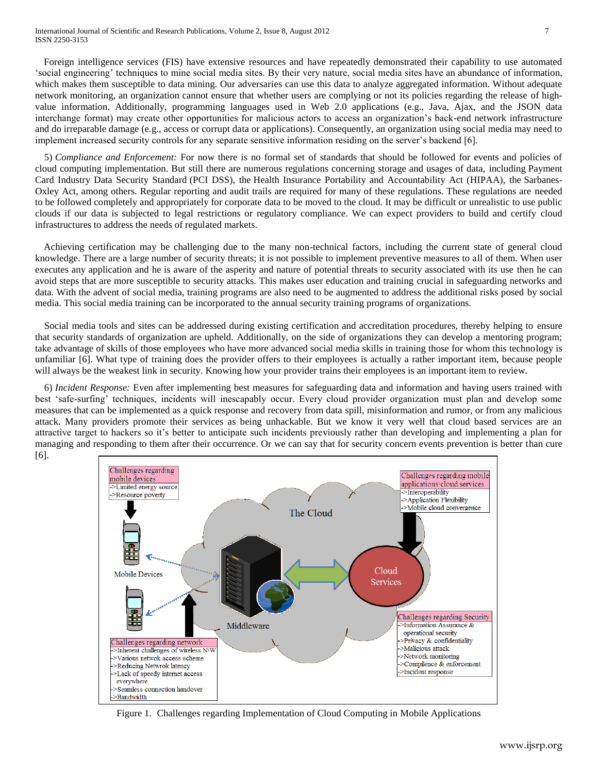Foreign intelligence services (FIS) have extensive resources and have repeatedly demonstrated their capability to use automated "social engineering" techniques to mine social media sites. By their very nature, social media sites have an abundance of information, which makes them susceptible to data mining. Our adversaries can use this data to analyze aggregated information. Without adequate network monitoring, an organization cannot ensure that whether users are complying or not its policies regarding the release of highvalue information. Additionally, programming languages used in Web 2.0 applications (e.g., Java, Ajax, and the JSON data interchange format) may create other opportunities for malicious actors to access an organization"s back-end network infrastructure and do irreparable damage (e.g., access or corrupt data or applications). Consequently, an organization using social media may need to implement increased security controls for any separate sensitive information residing on the server"s backend [6].

5) *Compliance and Enforcement:* For now there is no formal set of standards that should be followed for events and policies of cloud computing implementation. But still there are numerous regulations concerning storage and usages of data, including Payment Card Industry Data Security Standard (PCI DSS), the Health Insurance Portability and Accountability Act (HIPAA), the Sarbanes-Oxley Act, among others. Regular reporting and audit trails are required for many of these regulations. These regulations are needed to be followed completely and appropriately for corporate data to be moved to the cloud. It may be difficult or unrealistic to use public clouds if our data is subjected to legal restrictions or regulatory compliance. We can expect providers to build and certify cloud infrastructures to address the needs of regulated markets.

Achieving certification may be challenging due to the many non-technical factors, including the current state of general cloud knowledge. There are a large number of security threats; it is not possible to implement preventive measures to all of them. When user executes any application and he is aware of the asperity and nature of potential threats to security associated with its use then he can avoid steps that are more susceptible to security attacks. This makes user education and training crucial in safeguarding networks and data. With the advent of social media, training programs are also need to be augmented to address the additional risks posed by social media. This social media training can be incorporated to the annual security training programs of organizations.

Social media tools and sites can be addressed during existing certification and accreditation procedures, thereby helping to ensure that security standards of organization are upheld. Additionally, on the side of organizations they can develop a mentoring program; take advantage of skills of those employees who have more advanced social media skills in training those for whom this technology is unfamiliar [6]. What type of training does the provider offers to their employees is actually a rather important item, because people will always be the weakest link in security. Knowing how your provider trains their employees is an important item to review.

6) *Incident Response:* Even after implementing best measures for safeguarding data and information and having users trained with best "safe-surfing" techniques, incidents will inescapably occur. Every cloud provider organization must plan and develop some measures that can be implemented as a quick response and recovery from data spill, misinformation and rumor, or from any malicious attack. Many providers promote their services as being unhackable. But we know it very well that cloud based services are an attractive target to hackers so it"s better to anticipate such incidents previously rather than developing and implementing a plan for managing and responding to them after their occurrence. Or we can say that for security concern events prevention is better than cure [6].



Figure 1. Challenges regarding Implementation of Cloud Computing in Mobile Applications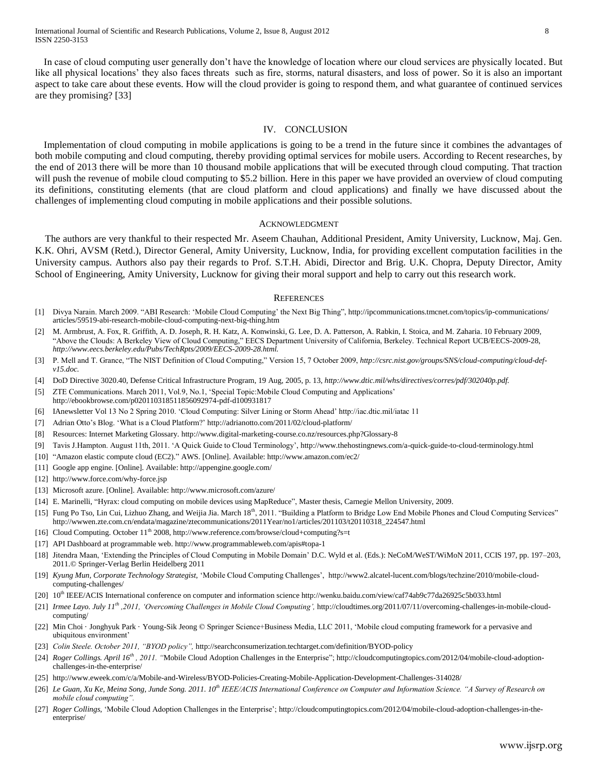In case of cloud computing user generally don"t have the knowledge of location where our cloud services are physically located. But like all physical locations' they also faces threats such as fire, storms, natural disasters, and loss of power. So it is also an important aspect to take care about these events. How will the cloud provider is going to respond them, and what guarantee of continued services are they promising? [33]

#### IV. CONCLUSION

Implementation of cloud computing in mobile applications is going to be a trend in the future since it combines the advantages of both mobile computing and cloud computing, thereby providing optimal services for mobile users. According to Recent researches, by the end of 2013 there will be more than 10 thousand mobile applications that will be executed through cloud computing. That traction will push the revenue of mobile cloud computing to \$5.2 billion. Here in this paper we have provided an overview of cloud computing its definitions, constituting elements (that are cloud platform and cloud applications) and finally we have discussed about the challenges of implementing cloud computing in mobile applications and their possible solutions.

#### ACKNOWLEDGMENT

The authors are very thankful to their respected Mr. Aseem Chauhan, Additional President, Amity University, Lucknow, Maj. Gen. K.K. Ohri, AVSM (Retd.), Director General, Amity University, Lucknow, India, for providing excellent computation facilities in the University campus. Authors also pay their regards to Prof. S.T.H. Abidi, Director and Brig. U.K. Chopra, Deputy Director, Amity School of Engineering, Amity University, Lucknow for giving their moral support and help to carry out this research work.

#### **REFERENCES**

- [1] Divya Narain. March 2009. "ABI Research: "Mobile Cloud Computing" the Next Big Thing", http://ipcommunications.tmcnet.com/topics/ip-communications/ articles/59519-abi-research-mobile-cloud-computing-next-big-thing.htm
- [2] M. Armbrust, A. Fox, R. Griffith, A. D. Joseph, R. H. Katz, A. Konwinski, G. Lee, D. A. Patterson, A. Rabkin, I. Stoica, and M. Zaharia. 10 February 2009, "Above the Clouds: A Berkeley View of Cloud Computing," EECS Department University of California, Berkeley. Technical Report UCB/EECS-2009-28, *http://www.eecs.berkeley.edu/Pubs/TechRpts/2009/EECS-2009-28.html.*
- [3] P. Mell and T. Grance, "The NIST Definition of Cloud Computing," Version 15, 7 October 2009, *http://csrc.nist.gov/groups/SNS/cloud-computing/cloud-defv15.doc.*
- [4] DoD Directive 3020.40, Defense Critical Infrastructure Program, 19 Aug, 2005, p. 13, *http://www.dtic.mil/whs/directives/corres/pdf/302040p.pdf.*
- [5] ZTE Communications. March 2011, Vol.9, No.1, 'Special Topic:Mobile Cloud Computing and Applications' http://ebookbrowse.com/p020110318511856092974-pdf-d100931817
- [6] IAnewsletter Vol 13 No 2 Spring 2010. "Cloud Computing: Silver Lining or Storm Ahead" http://iac.dtic.mil/iatac 11
- [7] Adrian Otto"s Blog. "What is a Cloud Platform?" http://adrianotto.com/2011/02/cloud-platform/
- [8] Resources: Internet Marketing Glossary. http://www.digital-marketing-course.co.nz/resources.php?Glossary-8
- [9] Tavis J.Hampton. August 11th, 2011. "A Quick Guide to Cloud Terminology", http://www.thehostingnews.com/a-quick-guide-to-cloud-terminology.html
- [10] "Amazon elastic compute cloud (EC2)." AWS. [Online]. Available: http://www.amazon.com/ec2/
- [11] Google app engine. [Online]. Available: http://appengine.google.com/
- [12] http://www.force.com/why-force.jsp
- [13] Microsoft azure. [Online]. Available: http://www.microsoft.com/azure/
- [14] E. Marinelli, "Hyrax: cloud computing on mobile devices using MapReduce", Master thesis, Carnegie Mellon University, 2009.
- [15] Fung Po Tso, Lin Cui, Lizhuo Zhang, and Weijia Jia. March  $18<sup>th</sup>$ , 2011. "Building a Platform to Bridge Low End Mobile Phones and Cloud Computing Services" http://wwwen.zte.com.cn/endata/magazine/ztecommunications/2011Year/no1/articles/201103/t20110318\_224547.html
- [16] Cloud Computing. October 11<sup>th</sup> 2008, http://www.reference.com/browse/cloud+computing?s=t
- [17] API Dashboard at programmable web. http://www.programmableweb.com/apis#topa-1
- [18] Jitendra Maan, "Extending the Principles of Cloud Computing in Mobile Domain" D.C. Wyld et al. (Eds.): NeCoM/WeST/WiMoN 2011, CCIS 197, pp. 197–203, 2011.© Springer-Verlag Berlin Heidelberg 2011
- [19] *Kyung Mun, Corporate Technology Strategist,* "Mobile Cloud Computing Challenges", http://www2.alcatel-lucent.com/blogs/techzine/2010/mobile-cloudcomputing-challenges/
- [20] 10<sup>th</sup> IEEE/ACIS International conference on computer and information science http://wenku.baidu.com/view/caf74ab9c77da26925c5b033.html
- [21] *Irmee Layo. July 11th ,2011, "Overcoming Challenges in Mobile Cloud Computing",* http://cloudtimes.org/2011/07/11/overcoming-challenges-in-mobile-cloudcomputing/
- [22] Min Choi · Jonghyuk Park · Young-Sik Jeong © Springer Science+Business Media, LLC 2011, "Mobile cloud computing framework for a pervasive and ubiquitous environment"
- [23] *Colin Steele. October 2011, "BYOD policy",* http://searchconsumerization.techtarget.com/definition/BYOD-policy
- [24] *Roger Collings. April 16th , 2011. "*Mobile Cloud Adoption Challenges in the Enterprise"; http://cloudcomputingtopics.com/2012/04/mobile-cloud-adoptionchallenges-in-the-enterprise/
- [25] http://www.eweek.com/c/a/Mobile-and-Wireless/BYOD-Policies-Creating-Mobile-Application-Development-Challenges-314028/
- [26] Le Guan, Xu Ke, Meina Song, Junde Song. 2011. 10<sup>th</sup> IEEE/ACIS International Conference on Computer and Information Science. "A Survey of Research on *mobile cloud computing".*
- [27] *Roger Collings,* 'Mobile Cloud Adoption Challenges in the Enterprise'; http://cloudcomputingtopics.com/2012/04/mobile-cloud-adoption-challenges-in-theenterprise/